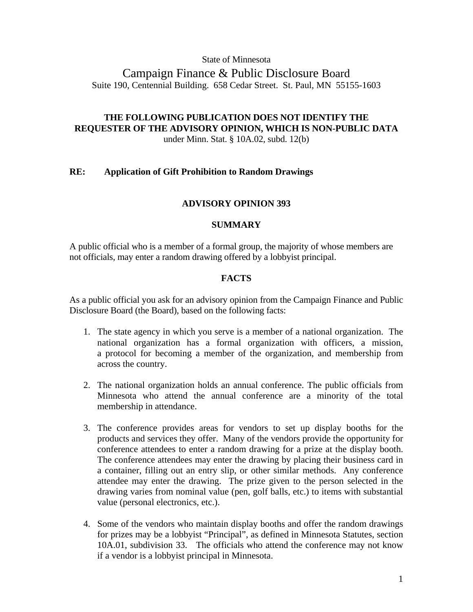#### State of Minnesota

## Campaign Finance & Public Disclosure Board Suite 190, Centennial Building. 658 Cedar Street. St. Paul, MN 55155-1603

## **THE FOLLOWING PUBLICATION DOES NOT IDENTIFY THE REQUESTER OF THE ADVISORY OPINION, WHICH IS NON-PUBLIC DATA**

under Minn. Stat. § 10A.02, subd. 12(b)

#### **RE: Application of Gift Prohibition to Random Drawings**

#### **ADVISORY OPINION 393**

#### **SUMMARY**

A public official who is a member of a formal group, the majority of whose members are not officials, may enter a random drawing offered by a lobbyist principal.

#### **FACTS**

As a public official you ask for an advisory opinion from the Campaign Finance and Public Disclosure Board (the Board), based on the following facts:

- 1. The state agency in which you serve is a member of a national organization. The national organization has a formal organization with officers, a mission, a protocol for becoming a member of the organization, and membership from across the country.
- 2. The national organization holds an annual conference. The public officials from Minnesota who attend the annual conference are a minority of the total membership in attendance.
- 3. The conference provides areas for vendors to set up display booths for the products and services they offer. Many of the vendors provide the opportunity for conference attendees to enter a random drawing for a prize at the display booth. The conference attendees may enter the drawing by placing their business card in a container, filling out an entry slip, or other similar methods. Any conference attendee may enter the drawing. The prize given to the person selected in the drawing varies from nominal value (pen, golf balls, etc.) to items with substantial value (personal electronics, etc.).
- 4. Some of the vendors who maintain display booths and offer the random drawings for prizes may be a lobbyist "Principal", as defined in Minnesota Statutes, section 10A.01, subdivision 33. The officials who attend the conference may not know if a vendor is a lobbyist principal in Minnesota.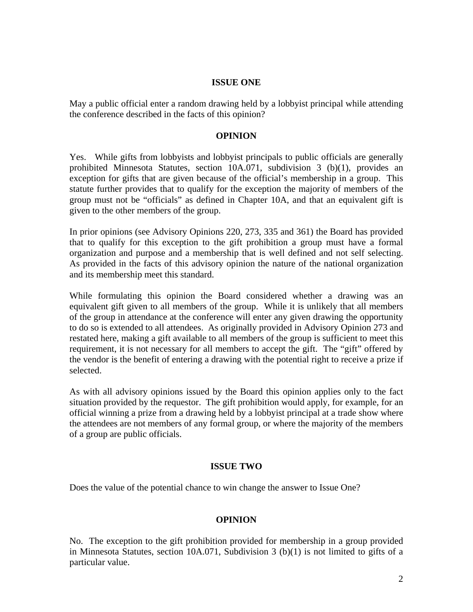#### **ISSUE ONE**

May a public official enter a random drawing held by a lobbyist principal while attending the conference described in the facts of this opinion?

#### **OPINION**

Yes. While gifts from lobbyists and lobbyist principals to public officials are generally prohibited Minnesota Statutes, section 10A.071, subdivision 3 (b)(1), provides an exception for gifts that are given because of the official's membership in a group. This statute further provides that to qualify for the exception the majority of members of the group must not be "officials" as defined in Chapter 10A, and that an equivalent gift is given to the other members of the group.

In prior opinions (see Advisory Opinions 220, 273, 335 and 361) the Board has provided that to qualify for this exception to the gift prohibition a group must have a formal organization and purpose and a membership that is well defined and not self selecting. As provided in the facts of this advisory opinion the nature of the national organization and its membership meet this standard.

While formulating this opinion the Board considered whether a drawing was an equivalent gift given to all members of the group. While it is unlikely that all members of the group in attendance at the conference will enter any given drawing the opportunity to do so is extended to all attendees. As originally provided in Advisory Opinion 273 and restated here, making a gift available to all members of the group is sufficient to meet this requirement, it is not necessary for all members to accept the gift. The "gift" offered by the vendor is the benefit of entering a drawing with the potential right to receive a prize if selected.

As with all advisory opinions issued by the Board this opinion applies only to the fact situation provided by the requestor. The gift prohibition would apply, for example, for an official winning a prize from a drawing held by a lobbyist principal at a trade show where the attendees are not members of any formal group, or where the majority of the members of a group are public officials.

#### **ISSUE TWO**

Does the value of the potential chance to win change the answer to Issue One?

#### **OPINION**

No. The exception to the gift prohibition provided for membership in a group provided in Minnesota Statutes, section 10A.071, Subdivision 3 (b)(1) is not limited to gifts of a particular value.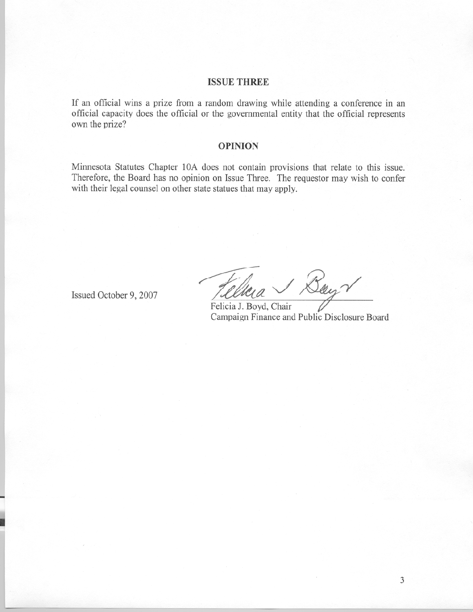#### **ISSUE THREE**

If an official wins a prize from a random drawing while attending a conference in an official capacity does the official or the governmental entity that the official represents own the prize?

#### **OPINION**

Minnesota Statutes Chapter 10A does not contain provisions that relate to this issue. Therefore, the Board has no opinion on Issue Three. The requestor may wish to confer with their legal counsel on other state statues that may apply.

Issued October 9, 2007

Boyr

Felicia J. Boyd, Chair Campaign Finance and Public Disclosure Board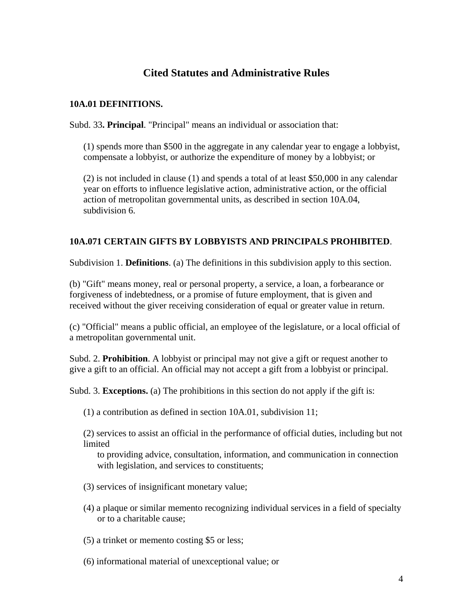# **Cited Statutes and Administrative Rules**

### **10A.01 DEFINITIONS.**

Subd. 33**. Principal**. "Principal" means an individual or association that:

(1) spends more than \$500 in the aggregate in any calendar year to engage a lobbyist, compensate a lobbyist, or authorize the expenditure of money by a lobbyist; or

 (2) is not included in clause (1) and spends a total of at least \$50,000 in any calendar year on efforts to influence legislative action, administrative action, or the official action of metropolitan governmental units, as described in section 10A.04, subdivision 6.

## **10A.071 CERTAIN GIFTS BY LOBBYISTS AND PRINCIPALS PROHIBITED**.

Subdivision 1. **Definitions**. (a) The definitions in this subdivision apply to this section.

(b) "Gift" means money, real or personal property, a service, a loan, a forbearance or forgiveness of indebtedness, or a promise of future employment, that is given and received without the giver receiving consideration of equal or greater value in return.

(c) "Official" means a public official, an employee of the legislature, or a local official of a metropolitan governmental unit.

Subd. 2. **Prohibition**. A lobbyist or principal may not give a gift or request another to give a gift to an official. An official may not accept a gift from a lobbyist or principal.

Subd. 3. **Exceptions.** (a) The prohibitions in this section do not apply if the gift is:

(1) a contribution as defined in section 10A.01, subdivision 11;

 (2) services to assist an official in the performance of official duties, including but not limited

to providing advice, consultation, information, and communication in connection with legislation, and services to constituents;

- (3) services of insignificant monetary value;
- (4) a plaque or similar memento recognizing individual services in a field of specialty or to a charitable cause;
- (5) a trinket or memento costing \$5 or less;
- (6) informational material of unexceptional value; or